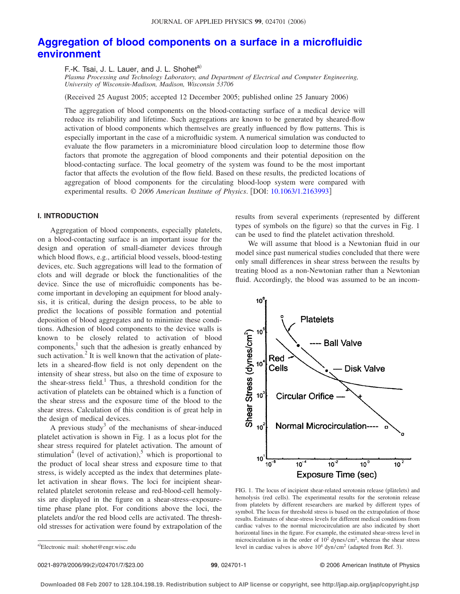# **[Aggregation of blood components on a surface in a microfluidic](http://dx.doi.org/10.1063/1.2163993) [environment](http://dx.doi.org/10.1063/1.2163993)**

F.-K. Tsai, J. L. Lauer, and J. L. Shoheta)

*Plasma Processing and Technology Laboratory, and Department of Electrical and Computer Engineering, University of Wisconsin-Madison, Madison, Wisconsin 53706*

(Received 25 August 2005; accepted 12 December 2005; published online 25 January 2006)

The aggregation of blood components on the blood-contacting surface of a medical device will reduce its reliability and lifetime. Such aggregations are known to be generated by sheared-flow activation of blood components which themselves are greatly influenced by flow patterns. This is especially important in the case of a microfluidic system. A numerical simulation was conducted to evaluate the flow parameters in a microminiature blood circulation loop to determine those flow factors that promote the aggregation of blood components and their potential deposition on the blood-contacting surface. The local geometry of the system was found to be the most important factor that affects the evolution of the flow field. Based on these results, the predicted locations of aggregation of blood components for the circulating blood-loop system were compared with experimental results. © 2006 American Institute of Physics. [DOI: [10.1063/1.2163993](http://dx.doi.org/10.1063/1.2163993)]

# **I. INTRODUCTION**

Aggregation of blood components, especially platelets, on a blood-contacting surface is an important issue for the design and operation of small-diameter devices through which blood flows, e.g., artificial blood vessels, blood-testing devices, etc. Such aggregations will lead to the formation of clots and will degrade or block the functionalities of the device. Since the use of microfluidic components has become important in developing an equipment for blood analysis, it is critical, during the design process, to be able to predict the locations of possible formation and potential deposition of blood aggregates and to minimize these conditions. Adhesion of blood components to the device walls is known to be closely related to activation of blood components, $\frac{1}{1}$  such that the adhesion is greatly enhanced by such activation. $<sup>2</sup>$  It is well known that the activation of plate-</sup> lets in a sheared-flow field is not only dependent on the intensity of shear stress, but also on the time of exposure to the shear-stress field.<sup>1</sup> Thus, a threshold condition for the activation of platelets can be obtained which is a function of the shear stress and the exposure time of the blood to the shear stress. Calculation of this condition is of great help in the design of medical devices.

A previous study<sup>3</sup> of the mechanisms of shear-induced platelet activation is shown in Fig. 1 as a locus plot for the shear stress required for platelet activation. The amount of stimulation<sup>4</sup> (level of activation),<sup>5</sup> which is proportional to the product of local shear stress and exposure time to that stress, is widely accepted as the index that determines platelet activation in shear flows. The loci for incipient shearrelated platelet serotonin release and red-blood-cell hemolysis are displayed in the figure on a shear-stress–exposuretime phase plane plot. For conditions above the loci, the platelets and/or the red blood cells are activated. The threshold stresses for activation were found by extrapolation of the results from several experiments (represented by different types of symbols on the figure) so that the curves in Fig. 1 can be used to find the platelet activation threshold.

We will assume that blood is a Newtonian fluid in our model since past numerical studies concluded that there were only small differences in shear stress between the results by treating blood as a non-Newtonian rather than a Newtonian fluid. Accordingly, the blood was assumed to be an incom-



FIG. 1. The locus of incipient shear-related serotonin release (plàtelets) and hemolysis (red cells). The experimental results for the serotonin release from platelets by different researchers are marked by different types of symbol. The locus for threshold stress is based on the extrapolation of those results. Estimates of shear-stress levels for different medical conditions from cardiac valves to the normal microcirculation are also indicated by short horizontal lines in the figure. For example, the estimated shear-stress level in microcirculation is in the order of  $10<sup>2</sup>$  dynes/cm<sup>2</sup>, whereas the shear stress level in cardiac valves is above  $10^4$  dyn/cm<sup>2</sup> (adapted from Ref. 3).

0021-8979/2006/99(2)/024701/7/\$23.00

a)Electronic mail: shohet@engr.wisc.edu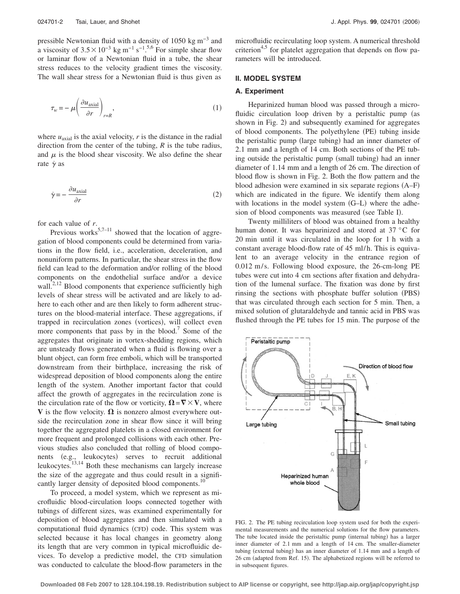pressible Newtonian fluid with a density of 1050 kg m−3 and a viscosity of  $3.5 \times 10^{-3}$  kg m<sup>-1</sup> s<sup>-1</sup>.<sup>5,6</sup> For simple shear flow or laminar flow of a Newtonian fluid in a tube, the shear stress reduces to the velocity gradient times the viscosity. The wall shear stress for a Newtonian fluid is thus given as

$$
\tau_w = -\mu \left( \frac{\partial u_{\text{axial}}}{\partial r} \right)_{r=R},\tag{1}
$$

where  $u_{\text{axial}}$  is the axial velocity,  $r$  is the distance in the radial direction from the center of the tubing, *R* is the tube radius, and  $\mu$  is the blood shear viscosity. We also define the shear rate  $\dot{\gamma}$  as

$$
\dot{\gamma} = -\frac{\partial u_{\text{axial}}}{\partial r} \tag{2}
$$

for each value of *r*.

Previous works<sup>5,7–11</sup> showed that the location of aggregation of blood components could be determined from variations in the flow field, i.e., acceleration, deceleration, and nonuniform patterns. In particular, the shear stress in the flow field can lead to the deformation and/or rolling of the blood components on the endothelial surface and/or a device wall.<sup>2,12</sup> Blood components that experience sufficiently high levels of shear stress will be activated and are likely to adhere to each other and are then likely to form adherent structures on the blood-material interface. These aggregations, if trapped in recirculation zones (vortices), will collect even more components that pass by in the blood.<sup>7</sup> Some of the aggregates that originate in vortex-shedding regions, which are unsteady flows generated when a fluid is flowing over a blunt object, can form free emboli, which will be transported downstream from their birthplace, increasing the risk of widespread deposition of blood components along the entire length of the system. Another important factor that could affect the growth of aggregates in the recirculation zone is the circulation rate of the flow or vorticity,  $\Omega = \nabla \times V$ , where **V** is the flow velocity.  $\Omega$  is nonzero almost everywhere outside the recirculation zone in shear flow since it will bring together the aggregated platelets in a closed environment for more frequent and prolonged collisions with each other. Previous studies also concluded that rolling of blood components (e.g., leukocytes) serves to recruit additional leukocytes. $13,14$  Both these mechanisms can largely increase the size of the aggregate and thus could result in a significantly larger density of deposited blood components.<sup>1</sup>

To proceed, a model system, which we represent as microfluidic blood-circulation loops connected together with tubings of different sizes, was examined experimentally for deposition of blood aggregates and then simulated with a computational fluid dynamics (CFD) code. This system was selected because it has local changes in geometry along its length that are very common in typical microfluidic devices. To develop a predictive model, the CFD simulation was conducted to calculate the blood-flow parameters in the microfluidic recirculating loop system. A numerical threshold criterion<sup>4,5</sup> for platelet aggregation that depends on flow parameters will be introduced.

#### **II. MODEL SYSTEM**

## **A. Experiment**

Heparinized human blood was passed through a microfluidic circulation loop driven by a peristaltic pump (as shown in Fig. 2) and subsequently examined for aggregates of blood components. The polyethylene (PE) tubing inside the peristaltic pump (large tubing) had an inner diameter of 2.1 mm and a length of 14 cm. Both sections of the PE tubing outside the peristaltic pump (small tubing) had an inner diameter of 1.14 mm and a length of 26 cm. The direction of blood flow is shown in Fig. 2. Both the flow pattern and the blood adhesion were examined in six separate regions (A–F) which are indicated in the figure. We identify them along with locations in the model system (G-L) where the adhesion of blood components was measured (see Table I).

Twenty milliliters of blood was obtained from a healthy human donor. It was heparinized and stored at 37 °C for 20 min until it was circulated in the loop for 1 h with a constant average blood-flow rate of 45 ml/h. This is equivalent to an average velocity in the entrance region of 0.012 m/s. Following blood exposure, the 26-cm-long PE tubes were cut into 4 cm sections after fixation and dehydration of the lumenal surface. The fixation was done by first rinsing the sections with phosphate buffer solution (PBS) that was circulated through each section for 5 min. Then, a mixed solution of glutaraldehyde and tannic acid in PBS was flushed through the PE tubes for 15 min. The purpose of the



FIG. 2. The PE tubing recirculation loop system used for both the experimental measurements and the numerical solutions for the flow parameters. The tube located inside the peristaltic pump (internal tubing) has a larger inner diameter of 2.1 mm and a length of 14 cm. The smaller-diameter tubing (external tubing) has an inner diameter of 1.14 mm and a length of 26 cm (adapted from Ref. 15). The alphabetized regions will be referred to in subsequent figures.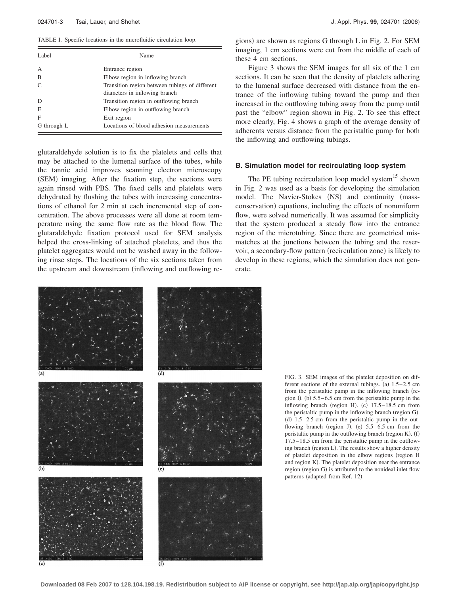TABLE I. Specific locations in the microfluidic circulation loop.

| Label          | Name                                                                            |
|----------------|---------------------------------------------------------------------------------|
| $\overline{A}$ | Entrance region                                                                 |
| B              | Elbow region in inflowing branch                                                |
| $\mathcal{C}$  | Transition region between tubings of different<br>diameters in inflowing branch |
| D              | Transition region in outflowing branch                                          |
| E              | Elbow region in outflowing branch                                               |
| F              | Exit region                                                                     |
| G through L    | Locations of blood adhesion measurements                                        |

glutaraldehyde solution is to fix the platelets and cells that may be attached to the lumenal surface of the tubes, while the tannic acid improves scanning electron microscopy (SEM) imaging. After the fixation step, the sections were again rinsed with PBS. The fixed cells and platelets were dehydrated by flushing the tubes with increasing concentrations of ethanol for 2 min at each incremental step of concentration. The above processes were all done at room temperature using the same flow rate as the blood flow. The glutaraldehyde fixation protocol used for SEM analysis helped the cross-linking of attached platelets, and thus the platelet aggregates would not be washed away in the following rinse steps. The locations of the six sections taken from the upstream and downstream (inflowing and outflowing re-

gions) are shown as regions G through L in Fig. 2. For SEM imaging, 1 cm sections were cut from the middle of each of these 4 cm sections.

Figure 3 shows the SEM images for all six of the 1 cm sections. It can be seen that the density of platelets adhering to the lumenal surface decreased with distance from the entrance of the inflowing tubing toward the pump and then increased in the outflowing tubing away from the pump until past the "elbow" region shown in Fig. 2. To see this effect more clearly, Fig. 4 shows a graph of the average density of adherents versus distance from the peristaltic pump for both the inflowing and outflowing tubings.

#### **B. Simulation model for recirculating loop system**

The PE tubing recirculation loop model system<sup>15</sup> shown in Fig. 2 was used as a basis for developing the simulation model. The Navier-Stokes (NS) and continuity (massconservation) equations, including the effects of nonuniform flow, were solved numerically. It was assumed for simplicity that the system produced a steady flow into the entrance region of the microtubing. Since there are geometrical mismatches at the junctions between the tubing and the reservoir, a secondary-flow pattern (recirculation zone) is likely to develop in these regions, which the simulation does not generate.



FIG. 3. SEM images of the platelet deposition on different sections of the external tubings. (a)  $1.5-2.5$  cm from the peristaltic pump in the inflowing branch (region I). (b)  $5.5-6.5$  cm from the peristaltic pump in the inflowing branch (region H). (c)  $17.5-18.5$  cm from the peristaltic pump in the inflowing branch (region G). (d)  $1.5-2.5$  cm from the peristaltic pump in the outflowing branch (region J). (e)  $5.5-6.5$  cm from the peristaltic pump in the outflowing branch (region K). (f) 17.5– 18.5 cm from the peristaltic pump in the outflowing branch (region L). The results show a higher density of platelet deposition in the elbow regions (region H and region K). The platelet deposition near the entrance region (region G) is attributed to the nonideal inlet flow patterns (adapted from Ref. 12).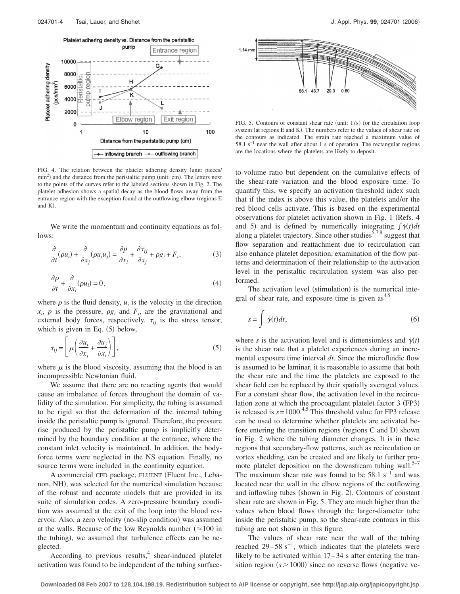

FIG. 4. The relation between the platelet adhering density (unit: pieces/ mm<sup>2</sup>) and the distance from the peristaltic pump (unit: cm). The letters next to the points of the curves refer to the labeled sections shown in Fig. 2. The platelet adhesion shows a spatial decay as the blood flows away from the entrance region with the exception found at the outflowing elbow (regions E and  $K$ ).

We write the momentum and continuity equations as follows:

$$
\frac{\partial}{\partial t}(\rho u_i) + \frac{\partial}{\partial x_j}(\rho u_i u_j) = \frac{\partial p}{\partial x_i} + \frac{\partial \tau_{ij}}{\partial x_j} + \rho g_i + F_i,
$$
\n(3)

$$
\frac{\partial \rho}{\partial t} + \frac{\partial}{\partial x_i}(\rho u_i) = 0,\tag{4}
$$

where  $\rho$  is the fluid density,  $u_i$  is the velocity in the direction  $x_i$ , *p* is the pressure,  $\rho g_i$  and  $F_i$ , are the gravitational and external body forces, respectively.  $\tau_{ij}$  is the stress tensor, which is given in Eq.  $(5)$  below,

$$
\tau_{ij} = \left[ \mu \left( \frac{\partial u_i}{\partial x_j} + \frac{\partial u_j}{\partial x_i} \right) \right],\tag{5}
$$

where  $\mu$  is the blood viscosity, assuming that the blood is an incompressible Newtonian fluid.

We assume that there are no reacting agents that would cause an imbalance of forces throughout the domain of validity of the simulation. For simplicity, the tubing is assumed to be rigid so that the deformation of the internal tubing inside the peristaltic pump is ignored. Therefore, the pressure rise produced by the peristaltic pump is implicitly determined by the boundary condition at the entrance, where the constant inlet velocity is maintained. In addition, the bodyforce terms were neglected in the NS equation. Finally, no source terms were included in the continuity equation.

A commercial CFD package, FLUENT (Fluent Inc., Lebanon, NH), was selected for the numerical simulation because of the robust and accurate models that are provided in its suite of simulation codes. A zero-pressure boundary condition was assumed at the exit of the loop into the blood reservoir. Also, a zero velocity (no-slip condition) was assumed at the walls. Because of the low Reynolds number  $(\approx 100 \text{ in}$ the tubing), we assumed that turbulence effects can be neglected.

According to previous results,  $4 \text{ shear-induced platelet}$ activation was found to be independent of the tubing surface-



FIG. 5. Contours of constant shear rate (unit: 1/s) for the circulation loop system (at regions E and K). The numbers refer to the values of shear rate on the contours as indicated. The strain rate reached a maximum value of 58.1 s−1 near the wall after about 1 s of operation. The rectangular regions are the locations where the platelets are likely to deposit.

to-volume ratio but dependent on the cumulative effects of the shear-rate variation and the blood exposure time. To quantify this, we specify an activation threshold index such that if the index is above this value, the platelets and/or the red blood cells activate. This is based on the experimental observations for platelet activation shown in Fig. 1 (Refs. 4 and 5) and is defined by numerically integrating  $\int \dot{\gamma}(t) dt$ along a platelet trajectory. Since other studies<sup>5,7,8</sup> suggest that flow separation and reattachment due to recirculation can also enhance platelet deposition, examination of the flow patterns and determination of their relationship to the activation level in the peristaltic recirculation system was also performed.

The activation level (stimulation) is the numerical integral of shear rate, and exposure time is given  $\text{as}^{4,5}$ 

$$
s = \int \dot{\gamma}(t)dt,\tag{6}
$$

where *s* is the activation level and is dimensionless and  $\dot{\gamma}(t)$ is the shear rate that a platelet experiences during an incremental exposure time interval *dt*. Since the microfluidic flow is assumed to be laminar, it is reasonable to assume that both the shear rate and the time the platelets are exposed to the shear field can be replaced by their spatially averaged values. For a constant shear flow, the activation level in the recirculation zone at which the procoagulant platelet factor 3 (FP3) is released is  $s = 1000$ .<sup>4,5</sup> This threshold value for FP3 release can be used to determine whether platelets are activated before entering the transition regions (regions C and D) shown in Fig. 2 where the tubing diameter changes. It is in these regions that secondary-flow patterns, such as recirculation or vortex shedding, can be created and are likely to further promote platelet deposition on the downstream tubing wall. $5-7$ The maximum shear rate was found to be  $58.1 \text{ s}^{-1}$  and was located near the wall in the elbow regions of the outflowing and inflowing tubes (shown in Fig. 2). Contours of constant shear rate are shown in Fig. 5. They are much higher than the values when blood flows through the larger-diameter tube inside the peristaltic pump, so the shear-rate contours in this tubing are not shown in this figure.

The values of shear rate near the wall of the tubing reached 29–58 s<sup>-1</sup>, which indicates that the platelets were likely to be activated within  $17-34$  s after entering the transition region  $(s > 1000)$  since no reverse flows (negative ve-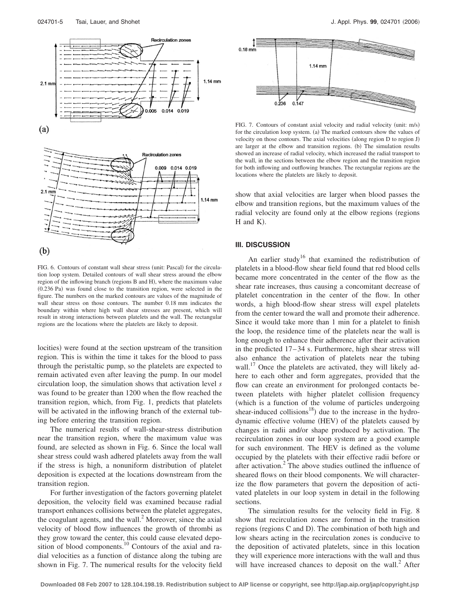

FIG. 6. Contours of constant wall shear stress (unit: Pascal) for the circulation loop system. Detailed contours of wall shear stress around the elbow region of the inflowing branch (regions B and H), where the maximum value (0.236 Pa) was found close to the transition region, were selected in the figure. The numbers on the marked contours are values of the magnitude of wall shear stress on those contours. The number 0.18 mm indicates the boundary within where high wall shear stresses are present, which will result in strong interactions between platelets and the wall. The rectangular regions are the locations where the platelets are likely to deposit.

locities) were found at the section upstream of the transition region. This is within the time it takes for the blood to pass through the peristaltic pump, so the platelets are expected to remain activated even after leaving the pump. In our model circulation loop, the simulation shows that activation level *s* was found to be greater than 1200 when the flow reached the transition region, which, from Fig. 1, predicts that platelets will be activated in the inflowing branch of the external tubing before entering the transition region.

The numerical results of wall-shear-stress distribution near the transition region, where the maximum value was found, are selected as shown in Fig. 6. Since the local wall shear stress could wash adhered platelets away from the wall if the stress is high, a nonuniform distribution of platelet deposition is expected at the locations downstream from the transition region.

For further investigation of the factors governing platelet deposition, the velocity field was examined because radial transport enhances collisions between the platelet aggregates, the coagulant agents, and the wall.<sup>2</sup> Moreover, since the axial velocity of blood flow influences the growth of thrombi as they grow toward the center, this could cause elevated deposition of blood components.<sup>10</sup> Contours of the axial and radial velocities as a function of distance along the tubing are shown in Fig. 7. The numerical results for the velocity field



FIG. 7. Contours of constant axial velocity and radial velocity (unit: m/s) for the circulation loop system. (a) The marked contours show the values of velocity on those contours. The axial velocities (along region D to region J) are larger at the elbow and transition regions. (b) The simulation results showed an increase of radial velocity, which increased the radial transport to the wall, in the sections between the elbow region and the transition region for both inflowing and outflowing branches. The rectangular regions are the locations where the platelets are likely to deposit.

show that axial velocities are larger when blood passes the elbow and transition regions, but the maximum values of the radial velocity are found only at the elbow regions (regions  $H$  and  $K$ ).

#### **III. DISCUSSION**

An earlier study<sup>16</sup> that examined the redistribution of platelets in a blood-flow shear field found that red blood cells became more concentrated in the center of the flow as the shear rate increases, thus causing a concomitant decrease of platelet concentration in the center of the flow. In other words, a high blood-flow shear stress will expel platelets from the center toward the wall and promote their adherence. Since it would take more than 1 min for a platelet to finish the loop, the residence time of the platelets near the wall is long enough to enhance their adherence after their activation in the predicted  $17-34$  s. Furthermore, high shear stress will also enhance the activation of platelets near the tubing wall.<sup>17</sup> Once the platelets are activated, they will likely adhere to each other and form aggregates, provided that the flow can create an environment for prolonged contacts between platelets with higher platelet collision frequency which is a function of the volume of particles undergoing shear-induced collisions<sup>18</sup>) due to the increase in the hydrodynamic effective volume (HEV) of the platelets caused by changes in radii and/or shape produced by activation. The recirculation zones in our loop system are a good example for such environment. The HEV is defined as the volume occupied by the platelets with their effective radii before or after activation. $<sup>2</sup>$  The above studies outlined the influence of</sup> sheared flows on their blood components. We will characterize the flow parameters that govern the deposition of activated platelets in our loop system in detail in the following sections.

The simulation results for the velocity field in Fig. 8 show that recirculation zones are formed in the transition regions (regions C and D). The combination of both high and low shears acting in the recirculation zones is conducive to the deposition of activated platelets, since in this location they will experience more interactions with the wall and thus will have increased chances to deposit on the wall.<sup>2</sup> After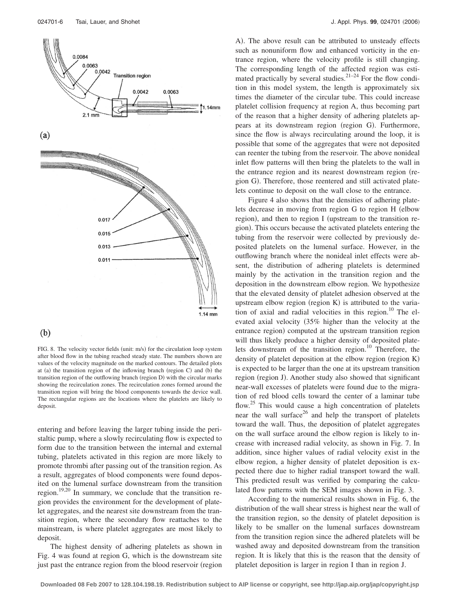

# $(b)$

FIG. 8. The velocity vector fields (unit: m/s) for the circulation loop system after blood flow in the tubing reached steady state. The numbers shown are values of the velocity magnitude on the marked contours. The detailed plots at (a) the transition region of the inflowing branch (region C) and (b) the transition region of the outflowing branch (region D) with the circular marks showing the recirculation zones. The recirculation zones formed around the transition region will bring the blood components towards the device wall. The rectangular regions are the locations where the platelets are likely to deposit.

entering and before leaving the larger tubing inside the peristaltic pump, where a slowly recirculating flow is expected to form due to the transition between the internal and external tubing, platelets activated in this region are more likely to promote thrombi after passing out of the transition region. As a result, aggregates of blood components were found deposited on the lumenal surface downstream from the transition region.<sup>19,20</sup> In summary, we conclude that the transition region provides the environment for the development of platelet aggregates, and the nearest site downstream from the transition region, where the secondary flow reattaches to the mainstream, is where platelet aggregates are most likely to deposit.

The highest density of adhering platelets as shown in Fig. 4 was found at region G, which is the downstream site just past the entrance region from the blood reservoir (region

A). The above result can be attributed to unsteady effects such as nonuniform flow and enhanced vorticity in the entrance region, where the velocity profile is still changing. The corresponding length of the affected region was estimated practically by several studies. $2^{1-24}$  For the flow condition in this model system, the length is approximately six times the diameter of the circular tube. This could increase platelet collision frequency at region A, thus becoming part of the reason that a higher density of adhering platelets appears at its downstream region (region G). Furthermore, since the flow is always recirculating around the loop, it is possible that some of the aggregates that were not deposited can reenter the tubing from the reservoir. The above nonideal inlet flow patterns will then bring the platelets to the wall in the entrance region and its nearest downstream region (region G). Therefore, those reentered and still activated platelets continue to deposit on the wall close to the entrance.

Figure 4 also shows that the densities of adhering platelets decrease in moving from region G to region H (elbow region), and then to region I (upstream to the transition region). This occurs because the activated platelets entering the tubing from the reservoir were collected by previously deposited platelets on the lumenal surface. However, in the outflowing branch where the nonideal inlet effects were absent, the distribution of adhering platelets is determined mainly by the activation in the transition region and the deposition in the downstream elbow region. We hypothesize that the elevated density of platelet adhesion observed at the upstream elbow region (region  $K$ ) is attributed to the variation of axial and radial velocities in this region.<sup>10</sup> The elevated axial velocity 35% higher than the velocity at the entrance region) computed at the upstream transition region will thus likely produce a higher density of deposited platelets downstream of the transition region. $10$  Therefore, the density of platelet deposition at the elbow region (region K) is expected to be larger than the one at its upstream transition region (region J). Another study also showed that significant near-wall excesses of platelets were found due to the migration of red blood cells toward the center of a laminar tube flow.<sup>25</sup> This would cause a high concentration of platelets near the wall surface<sup>26</sup> and help the transport of platelets toward the wall. Thus, the deposition of platelet aggregates on the wall surface around the elbow region is likely to increase with increased radial velocity, as shown in Fig. 7. In addition, since higher values of radial velocity exist in the elbow region, a higher density of platelet deposition is expected there due to higher radial transport toward the wall. This predicted result was verified by comparing the calculated flow patterns with the SEM images shown in Fig. 3.

According to the numerical results shown in Fig. 6, the distribution of the wall shear stress is highest near the wall of the transition region, so the density of platelet deposition is likely to be smaller on the lumenal surfaces downstream from the transition region since the adhered platelets will be washed away and deposited downstream from the transition region. It is likely that this is the reason that the density of platelet deposition is larger in region I than in region J.